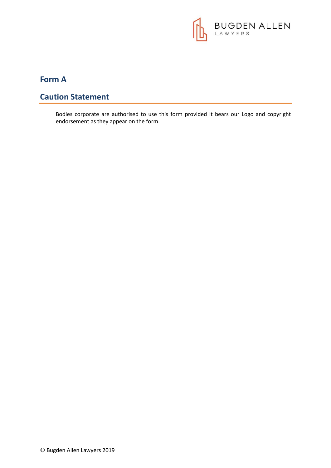

# **Form A**

## **Caution Statement**

Bodies corporate are authorised to use this form provided it bears our Logo and copyright endorsement as they appear on the form.